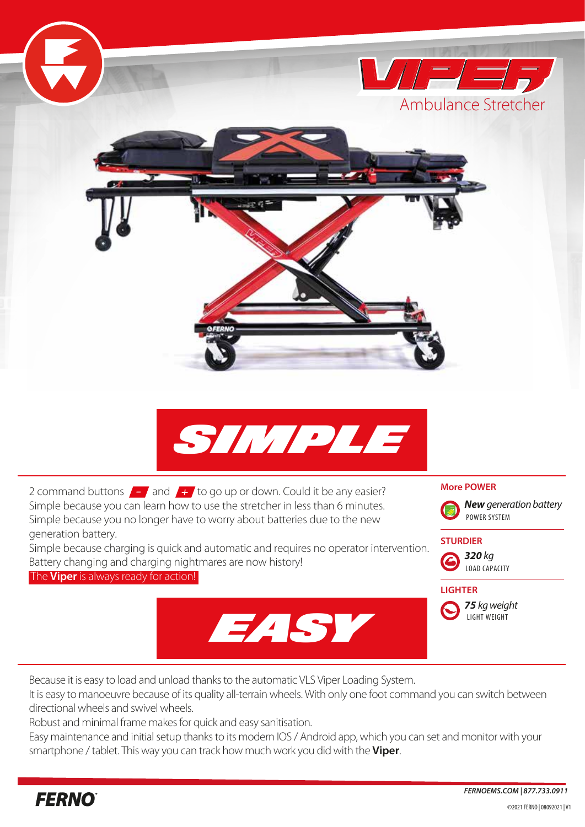

It is easy to manoeuvre because of its quality all-terrain wheels. With only one foot command you can switch between directional wheels and swivel wheels.

Robust and minimal frame makes for quick and easy sanitisation.

Easy maintenance and initial setup thanks to its modern IOS / Android app, which you can set and monitor with your smartphone / tablet. This way you can track how much work you did with the **Viper**.

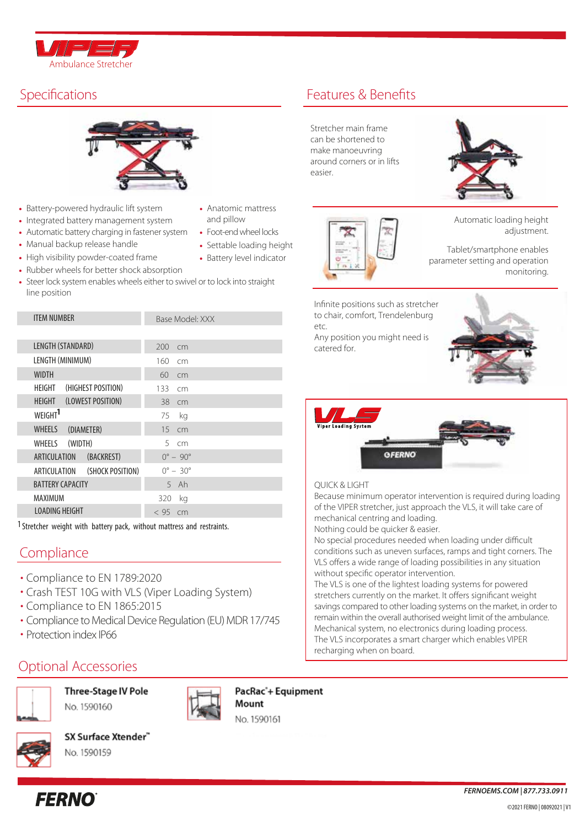



- Battery-powered hydraulic lift system
- Integrated battery management system
- Automatic battery charging in fastener system Foot-end wheel locks
- Manual backup release handle
- High visibility powder-coated frame
- Rubber wheels for better shock absorption
- Steer lock system enables wheels either to swivel or to lock into straight line position

| <b>ITEM NUMBER</b>               | Base Model: XXX          |
|----------------------------------|--------------------------|
|                                  |                          |
| LENGTH (STANDARD)                | 200<br>cm                |
| LENGTH (MINIMUM)                 | 160<br>cm                |
| <b>WIDTH</b>                     | 60<br>cm                 |
| (HIGHEST POSITION)<br>HEIGHT     | 133<br>cm                |
| (LOWEST POSITION)<br>HEIGHT      | 38<br>cm                 |
| WEIGHT <sup>1</sup>              | 75<br>kg                 |
| <b>WHEELS</b><br>(DIAMETER)      | 15<br>cm                 |
| (WIDTH)<br>WHEELS                | 5<br>cm                  |
| ARTICULATION<br>(BACKREST)       | $0^{\circ} - 90^{\circ}$ |
| ARTICULATION<br>(SHOCK POSITION) | $0^{\circ} - 30^{\circ}$ |
| <b>BATTERY CAPACITY</b>          | $5$ Ah                   |
| MAXIMUM                          | 320<br>ka                |
| <b>LOADING HEIGHT</b>            | < 95<br>cm               |
|                                  |                          |

1Stretcher weight with battery pack, without mattress and restraints.

## **Compliance**

- Compliance to EN 1789:2020 •
- Crash TEST 10G with VLS (Viper Loading System) •
- Compliance to EN 1865:2015 •
- Compliance to Medical Device Regulation (EU) MDR 17/745
- Protection index IP66

**FERNO** 

# Optional Accessories



Three-Stage IV Pole No. 1590160



PacRac'+ Equipment Mount





SX Surface Xtender" No. 1590159

- Anatomic mattress and pillow
- 
- Settable loading height
- Battery level indicator
- 

# Specifications **Features** & Benefits

Stretcher main frame can be shortened to make manoeuvring around corners or in lifts easier.





Automatic loading height adjustment.

Tablet/smartphone enables parameter setting and operation monitoring.

Infinite positions such as stretcher to chair, comfort, Trendelenburg etc.

Any position you might need is catered for.





### QUICK & LIGHT

Because minimum operator intervention is required during loading of the VIPER stretcher, just approach the VLS, it will take care of mechanical centring and loading.

Nothing could be quicker & easier.

No special procedures needed when loading under difficult conditions such as uneven surfaces, ramps and tight corners. The VLS offers a wide range of loading possibilities in any situation without specific operator intervention.

The VLS is one of the lightest loading systems for powered stretchers currently on the market. It offers significant weight savings compared to other loading systems on the market, in order to remain within the overall authorised weight limit of the ambulance. Mechanical system, no electronics during loading process. The VLS incorporates a smart charger which enables VIPER recharging when on board.

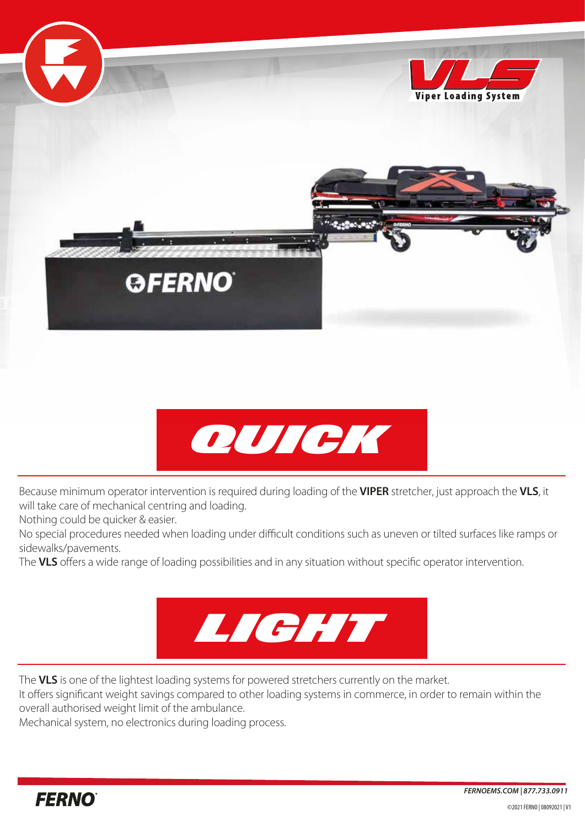



Because minimum operator intervention is required during loading of the **VIPER** stretcher, just approach the **VLS**, it will take care of mechanical centring and loading.

Nothing could be quicker & easier.

No special procedures needed when loading under difficult conditions such as uneven or tilted surfaces like ramps or sidewalks/pavements.

The **VLS** offers a wide range of loading possibilities and in any situation without specific operator intervention.



The **VLS** is one of the lightest loading systems for powered stretchers currently on the market.

It offers significant weight savings compared to other loading systems in commerce, in order to remain within the overall authorised weight limit of the ambulance.

Mechanical system, no electronics during loading process.